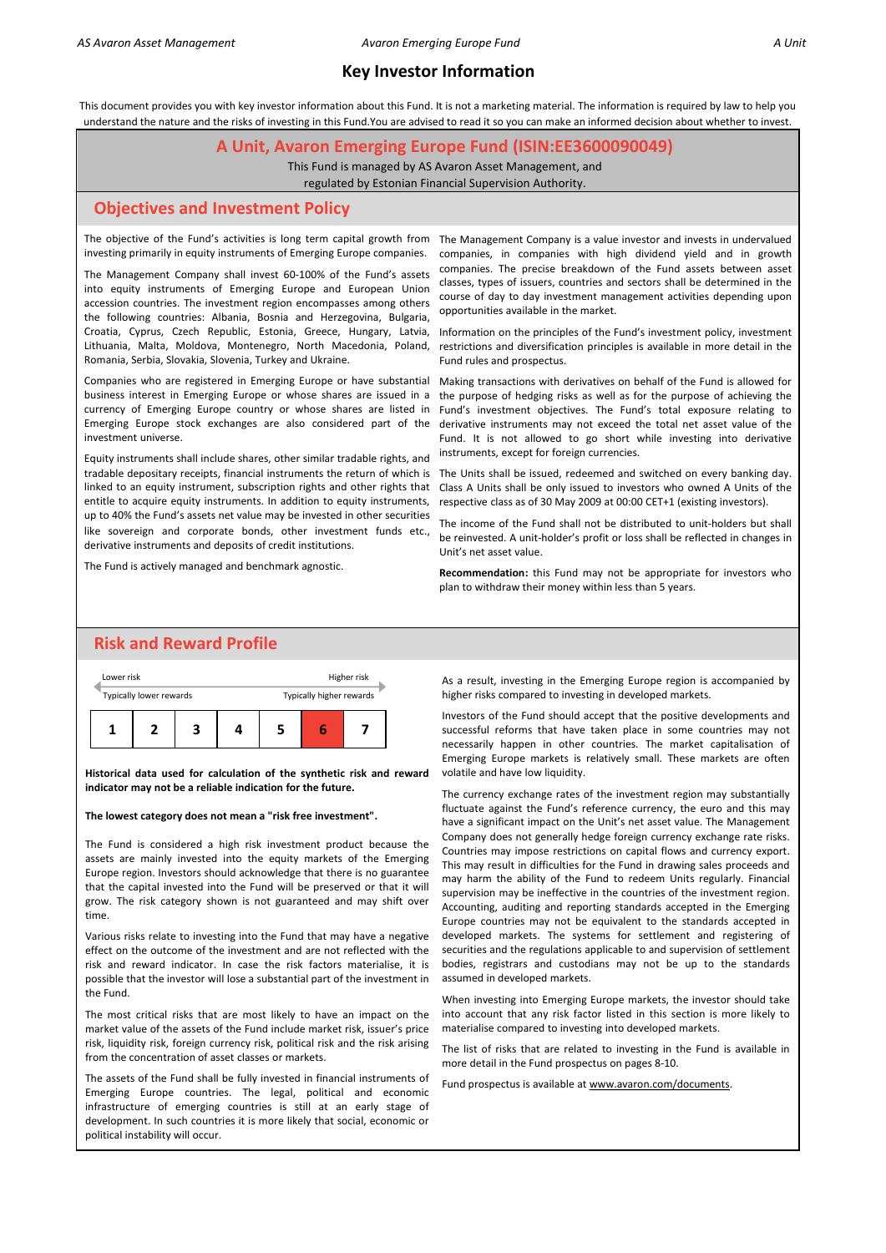This document provides you with key investor information about this Fund. It is not a marketing material. The information is required by law to help you understand the nature and the risks of investing in this Fund.You are advised to read it so you can make an informed decision about whether to invest.

#### **A Unit, Avaron Emerging Europe Fund (ISIN:EE3600090049)**

This Fund is managed by AS Avaron Asset Management, and

regulated by Estonian Financial Supervision Authority.

#### **Objectives and Investment Policy**

The objective of the Fund's activities is long term capital growth from The Management Company is a value investor and invests in undervalued investing primarily in equity instruments of Emerging Europe companies.

The Management Company shall invest 60-100% of the Fund's assets into equity instruments of Emerging Europe and European Union accession countries. The investment region encompasses among others the following countries: Albania, Bosnia and Herzegovina, Bulgaria, Croatia, Cyprus, Czech Republic, Estonia, Greece, Hungary, Latvia, Lithuania, Malta, Moldova, Montenegro, North Macedonia, Poland, Romania, Serbia, Slovakia, Slovenia, Turkey and Ukraine.

Companies who are registered in Emerging Europe or have substantial business interest in Emerging Europe or whose shares are issued in a currency of Emerging Europe country or whose shares are listed in Emerging Europe stock exchanges are also considered part of the investment universe.

Equity instruments shall include shares, other similar tradable rights, and tradable depositary receipts, financial instruments the return of which is The Units shall be issued, redeemed and switched on every banking day. entitle to acquire equity instruments. In addition to equity instruments, up to 40% the Fund's assets net value may be invested in other securities like sovereign and corporate bonds, other investment funds etc., derivative instruments and deposits of credit institutions.

The Fund is actively managed and benchmark agnostic.

companies, in companies with high dividend yield and in growth companies. The precise breakdown of the Fund assets between asset classes, types of issuers, countries and sectors shall be determined in the course of day to day investment management activities depending upon opportunities available in the market.

Information on the principles of the Fund's investment policy, investment restrictions and diversification principles is available in more detail in the Fund rules and prospectus.

Making transactions with derivatives on behalf of the Fund is allowed for the purpose of hedging risks as well as for the purpose of achieving the Fund's investment objectives. The Fund's total exposure relating to derivative instruments may not exceed the total net asset value of the Fund. It is not allowed to go short while investing into derivative instruments, except for foreign currencies.

linked to an equity instrument, subscription rights and other rights that Class A Units shall be only issued to investors who owned A Units of the respective class as of 30 May 2009 at 00:00 CET+1 (existing investors).

> The income of the Fund shall not be distributed to unit-holders but shall be reinvested. A unit-holder's profit or loss shall be reflected in changes in Unit's net asset value.

> **Recommendation:** this Fund may not be appropriate for investors who plan to withdraw their money within less than 5 years.

# **Risk and Reward Profile**



**Historical data used for calculation of the synthetic risk and reward indicator may not be a reliable indication for the future.**

#### **The lowest category does not mean a "risk free investment".**

The Fund is considered a high risk investment product because the assets are mainly invested into the equity markets of the Emerging Europe region. Investors should acknowledge that there is no guarantee that the capital invested into the Fund will be preserved or that it will grow. The risk category shown is not guaranteed and may shift over time.

Various risks relate to investing into the Fund that may have a negative effect on the outcome of the investment and are not reflected with the risk and reward indicator. In case the risk factors materialise, it is possible that the investor will lose a substantial part of the investment in the Fund.

The most critical risks that are most likely to have an impact on the market value of the assets of the Fund include market risk, issuer's price risk, liquidity risk, foreign currency risk, political risk and the risk arising from the concentration of asset classes or markets.

The assets of the Fund shall be fully invested in financial instruments of Emerging Europe countries. The legal, political and economic infrastructure of emerging countries is still at an early stage of development. In such countries it is more likely that social, economic or political instability will occur.

As a result, investing in the Emerging Europe region is accompanied by higher risks compared to investing in developed markets.

Investors of the Fund should accept that the positive developments and successful reforms that have taken place in some countries may not necessarily happen in other countries. The market capitalisation of Emerging Europe markets is relatively small. These markets are often volatile and have low liquidity.

The currency exchange rates of the investment region may substantially fluctuate against the Fund's reference currency, the euro and this may have a significant impact on the Unit's net asset value. The Management Company does not generally hedge foreign currency exchange rate risks. Countries may impose restrictions on capital flows and currency export. This may result in difficulties for the Fund in drawing sales proceeds and may harm the ability of the Fund to redeem Units regularly. Financial supervision may be ineffective in the countries of the investment region. Accounting, auditing and reporting standards accepted in the Emerging Europe countries may not be equivalent to the standards accepted in developed markets. The systems for settlement and registering of securities and the regulations applicable to and supervision of settlement bodies, registrars and custodians may not be up to the standards assumed in developed markets.

When investing into Emerging Europe markets, the investor should take into account that any risk factor listed in this section is more likely to materialise compared to investing into developed markets.

The list of risks that are related to investing in the Fund is available in more detail in the Fund prospectus on pages 8-10.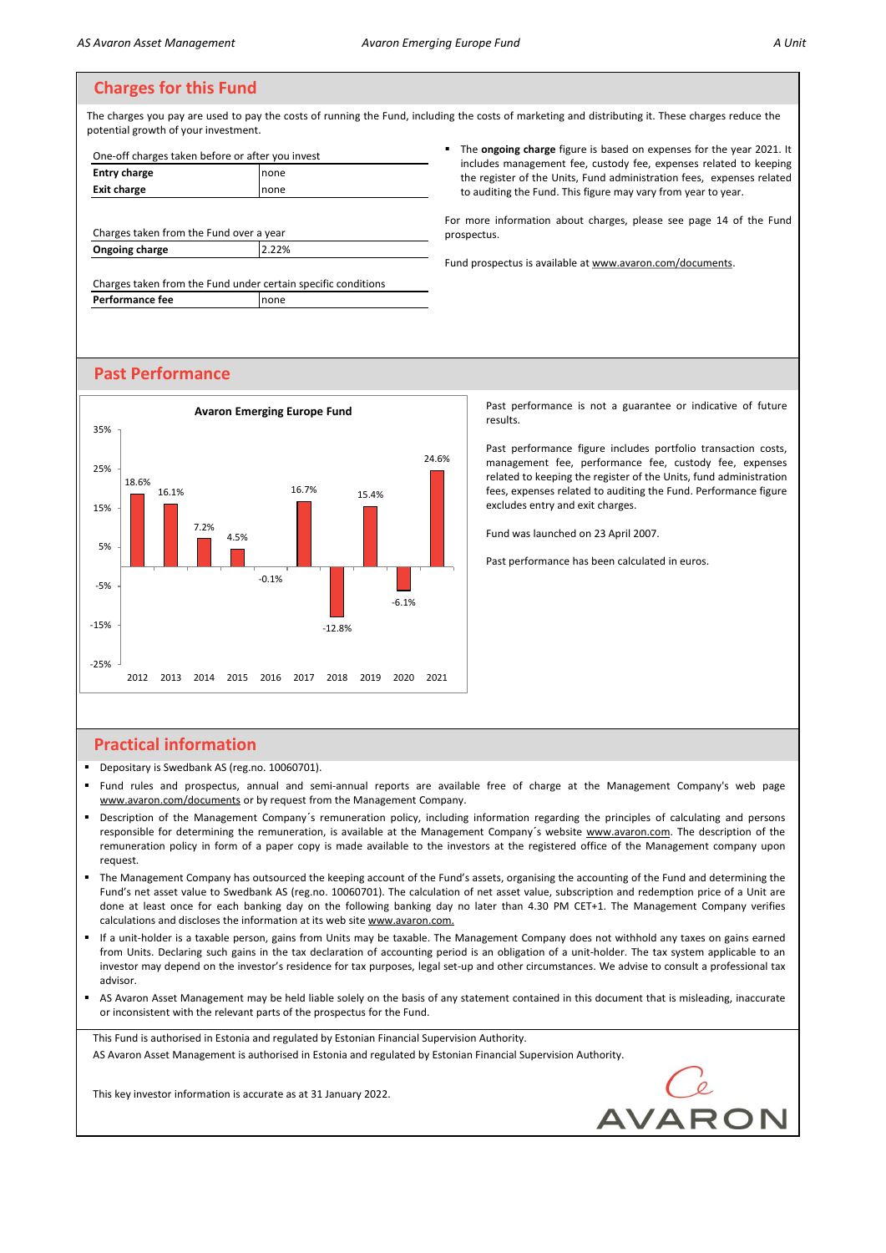The charges you pay are used to pay the costs of running the Fund, including the costs of marketing and distributing it. These charges reduce the potential growth of your investment.

| One-off charges taken before or after you invest |      |  |
|--------------------------------------------------|------|--|
| <b>Entry charge</b>                              | none |  |
| <b>Exit charge</b>                               | none |  |
|                                                  |      |  |

Charges taken from the Fund over a year **Ongoing charge 2.22%** 

Charges taken from the Fund under certain specific conditions **Performance fee** none

#### ▪ The **ongoing charge** figure is based on expenses for the year 2021. It includes management fee, custody fee, expenses related to keeping the register of the Units, Fund administration fees, expenses related to auditing the Fund. This figure may vary from year to year.

For more information about charges, please see page 14 of the Fund prospectus.

Fund prospectus is available at www.avaron.com/documents.

## **Past Performance**



results.

Past performance figure includes portfolio transaction costs, management fee, performance fee, custody fee, expenses related to keeping the register of the Units, fund administration fees, expenses related to auditing the Fund. Performance figure excludes entry and exit charges.

Fund was launched on 23 April 2007.

Past performance has been calculated in euros.

# **Practical information**

- Depositary is Swedbank AS (reg.no. 10060701).
- Fund rules and prospectus, annual and semi-annual reports are available free of charge at the Management Company's web page www.avaron.com/documents or by request from the Management Company.
- Description of the Management Company's remuneration policy, including information regarding the principles of calculating and persons responsible for determining the remuneration, is available at the Management Company's website www.avaron.com. The description of the remuneration policy in form of a paper copy is made available to the investors at the registered office of the Management company upon request.
- The Management Company has outsourced the keeping account of the Fund's assets, organising the accounting of the Fund and determining the Fund's net asset value to Swedbank AS (reg.no. 10060701). The calculation of net asset value, subscription and redemption price of a Unit are done at least once for each banking day on the following banking day no later than 4.30 PM CET+1. The Management Company verifies calculations and discloses the information at its web site www.avaron.com.
- If a unit-holder is a taxable person, gains from Units may be taxable. The Management Company does not withhold any taxes on gains earned from Units. Declaring such gains in the tax declaration of accounting period is an obligation of a unit-holder. The tax system applicable to an investor may depend on the investor's residence for tax purposes, legal set-up and other circumstances. We advise to consult a professional tax advisor.
- AS Avaron Asset Management may be held liable solely on the basis of any statement contained in this document that is misleading, inaccurate or inconsistent with the relevant parts of the prospectus for the Fund.

This Fund is authorised in Estonia and regulated by Estonian Financial Supervision Authority. AS Avaron Asset Management is authorised in Estonia and regulated by Estonian Financial Supervision Authority.

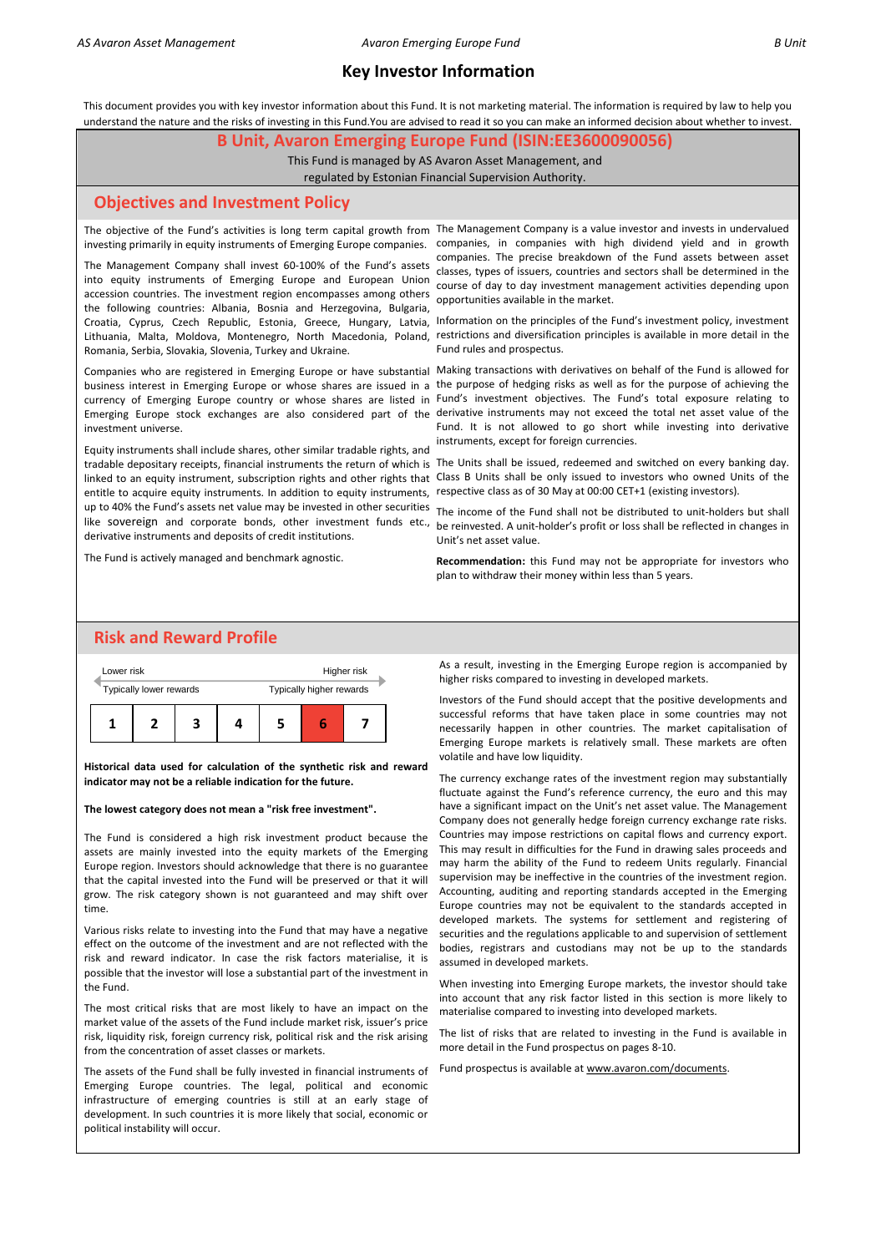This document provides you with key investor information about this Fund. It is not marketing material. The information is required by law to help you understand the nature and the risks of investing in this Fund.You are advised to read it so you can make an informed decision about whether to invest.

#### **B Unit, Avaron Emerging Europe Fund (ISIN:EE3600090056)**

This Fund is managed by AS Avaron Asset Management, and

regulated by Estonian Financial Supervision Authority.

#### **Objectives and Investment Policy**

The objective of the Fund's activities is long term capital growth from The Management Company is a value investor and invests in undervalued investing primarily in equity instruments of Emerging Europe companies.

The Management Company shall invest 60-100% of the Fund's assets into equity instruments of Emerging Europe and European Union accession countries. The investment region encompasses among others the following countries: Albania, Bosnia and Herzegovina, Bulgaria, Lithuania, Malta, Moldova, Montenegro, North Macedonia, Poland, Romania, Serbia, Slovakia, Slovenia, Turkey and Ukraine.

investment universe.

tradable depositary receipts, financial instruments the return of which is The Units shall be issued, redeemed and switched on every banking day. Equity instruments shall include shares, other similar tradable rights, and entitle to acquire equity instruments. In addition to equity instruments, up to 40% the Fund's assets net value may be invested in other securities derivative instruments and deposits of credit institutions.

The Fund is actively managed and benchmark agnostic.

companies, in companies with high dividend yield and in growth companies. The precise breakdown of the Fund assets between asset classes, types of issuers, countries and sectors shall be determined in the course of day to day investment management activities depending upon opportunities available in the market.

Croatia, Cyprus, Czech Republic, Estonia, Greece, Hungary, Latvia, Information on the principles of the Fund's investment policy, investment restrictions and diversification principles is available in more detail in the Fund rules and prospectus.

Companies who are registered in Emerging Europe or have substantial Making transactions with derivatives on behalf of the Fund is allowed for business interest in Emerging Europe or whose shares are issued in a the purpose of hedging risks as well as for the purpose of achieving the currency of Emerging Europe country or whose shares are listed in Fund's investment objectives. The Fund's total exposure relating to Emerging Europe stock exchanges are also considered part of the derivative instruments may not exceed the total net asset value of the Fund. It is not allowed to go short while investing into derivative instruments, except for foreign currencies.

linked to an equity instrument, subscription rights and other rights that Class B Units shall be only issued to investors who owned Units of the respective class as of 30 May at 00:00 CET+1 (existing investors).

The income of the Fund shall not be distributed to unit-holders but shall like sovereign and corporate bonds, other investment funds etc., be reinvested. A unit-holder's profit or loss shall be reflected in changes in Unit's net asset value.

> **Recommendation:** this Fund may not be appropriate for investors who plan to withdraw their money within less than 5 years.

# **Risk and Reward Profile**



**Historical data used for calculation of the synthetic risk and reward indicator may not be a reliable indication for the future.**

#### **The lowest category does not mean a "risk free investment".**

The Fund is considered a high risk investment product because the assets are mainly invested into the equity markets of the Emerging Europe region. Investors should acknowledge that there is no guarantee that the capital invested into the Fund will be preserved or that it will grow. The risk category shown is not guaranteed and may shift over time.

Various risks relate to investing into the Fund that may have a negative effect on the outcome of the investment and are not reflected with the risk and reward indicator. In case the risk factors materialise, it is possible that the investor will lose a substantial part of the investment in the Fund.

The most critical risks that are most likely to have an impact on the market value of the assets of the Fund include market risk, issuer's price risk, liquidity risk, foreign currency risk, political risk and the risk arising from the concentration of asset classes or markets.

The assets of the Fund shall be fully invested in financial instruments of Emerging Europe countries. The legal, political and economic infrastructure of emerging countries is still at an early stage of development. In such countries it is more likely that social, economic or political instability will occur.

As a result, investing in the Emerging Europe region is accompanied by higher risks compared to investing in developed markets.

Investors of the Fund should accept that the positive developments and successful reforms that have taken place in some countries may not necessarily happen in other countries. The market capitalisation of Emerging Europe markets is relatively small. These markets are often volatile and have low liquidity.

The currency exchange rates of the investment region may substantially fluctuate against the Fund's reference currency, the euro and this may have a significant impact on the Unit's net asset value. The Management Company does not generally hedge foreign currency exchange rate risks. Countries may impose restrictions on capital flows and currency export. This may result in difficulties for the Fund in drawing sales proceeds and may harm the ability of the Fund to redeem Units regularly. Financial supervision may be ineffective in the countries of the investment region. Accounting, auditing and reporting standards accepted in the Emerging Europe countries may not be equivalent to the standards accepted in developed markets. The systems for settlement and registering of securities and the regulations applicable to and supervision of settlement bodies, registrars and custodians may not be up to the standards assumed in developed markets.

When investing into Emerging Europe markets, the investor should take into account that any risk factor listed in this section is more likely to materialise compared to investing into developed markets.

The list of risks that are related to investing in the Fund is available in more detail in the Fund prospectus on pages 8-10.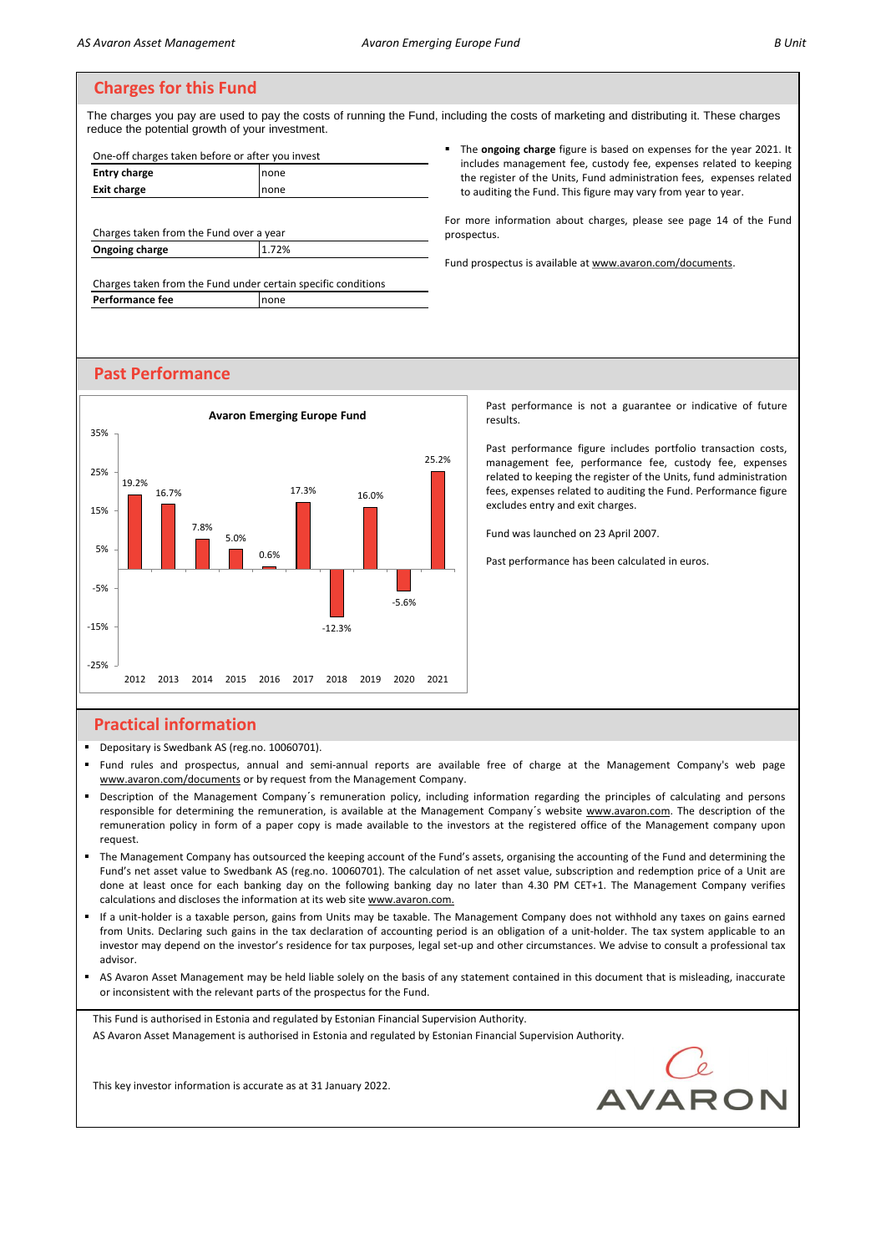The charges you pay are used to pay the costs of running the Fund, including the costs of marketing and distributing it. These charges reduce the potential growth of your investment. ▪ The **ongoing charge** figure is based on expenses for the year 2021. It

| none |  |
|------|--|
| none |  |
|      |  |
|      |  |
|      |  |

n from the **Ongoing charge** 1.72%

Charges taken from the Fund under certain specific conditions **Performance fee** none

## the register of the Units, Fund administration fees, expenses related to auditing the Fund. This figure may vary from year to year. For more information about charges, please see page 14 of the Fund prospectus.

includes management fee, custody fee, expenses related to keeping

Fund prospectus is available at www.avaron.com/documents.

# **Past Performance**



**Practical information**

- Depositary is Swedbank AS (reg.no. 10060701).
- Fund rules and prospectus, annual and semi-annual reports are available free of charge at the Management Company's web page www.avaron.com/documents or by request from the Management Company.
- Description of the Management Company's remuneration policy, including information regarding the principles of calculating and persons responsible for determining the remuneration, is available at the Management Company's website www.avaron.com. The description of the remuneration policy in form of a paper copy is made available to the investors at the registered office of the Management company upon request.
- " The Management Company has outsourced the keeping account of the Fund's assets, organising the accounting of the Fund and determining the Fund's net asset value to Swedbank AS (reg.no. 10060701). The calculation of net asset value, subscription and redemption price of a Unit are done at least once for each banking day on the following banking day no later than 4.30 PM CET+1. The Management Company verifies calculations and discloses the information at its web site www.avaron.com.
- If a unit-holder is a taxable person, gains from Units may be taxable. The Management Company does not withhold any taxes on gains earned from Units. Declaring such gains in the tax declaration of accounting period is an obligation of a unit-holder. The tax system applicable to an investor may depend on the investor's residence for tax purposes, legal set-up and other circumstances. We advise to consult a professional tax advisor.
- AS Avaron Asset Management may be held liable solely on the basis of any statement contained in this document that is misleading, inaccurate or inconsistent with the relevant parts of the prospectus for the Fund.

This Fund is authorised in Estonia and regulated by Estonian Financial Supervision Authority.

AS Avaron Asset Management is authorised in Estonia and regulated by Estonian Financial Supervision Authority.

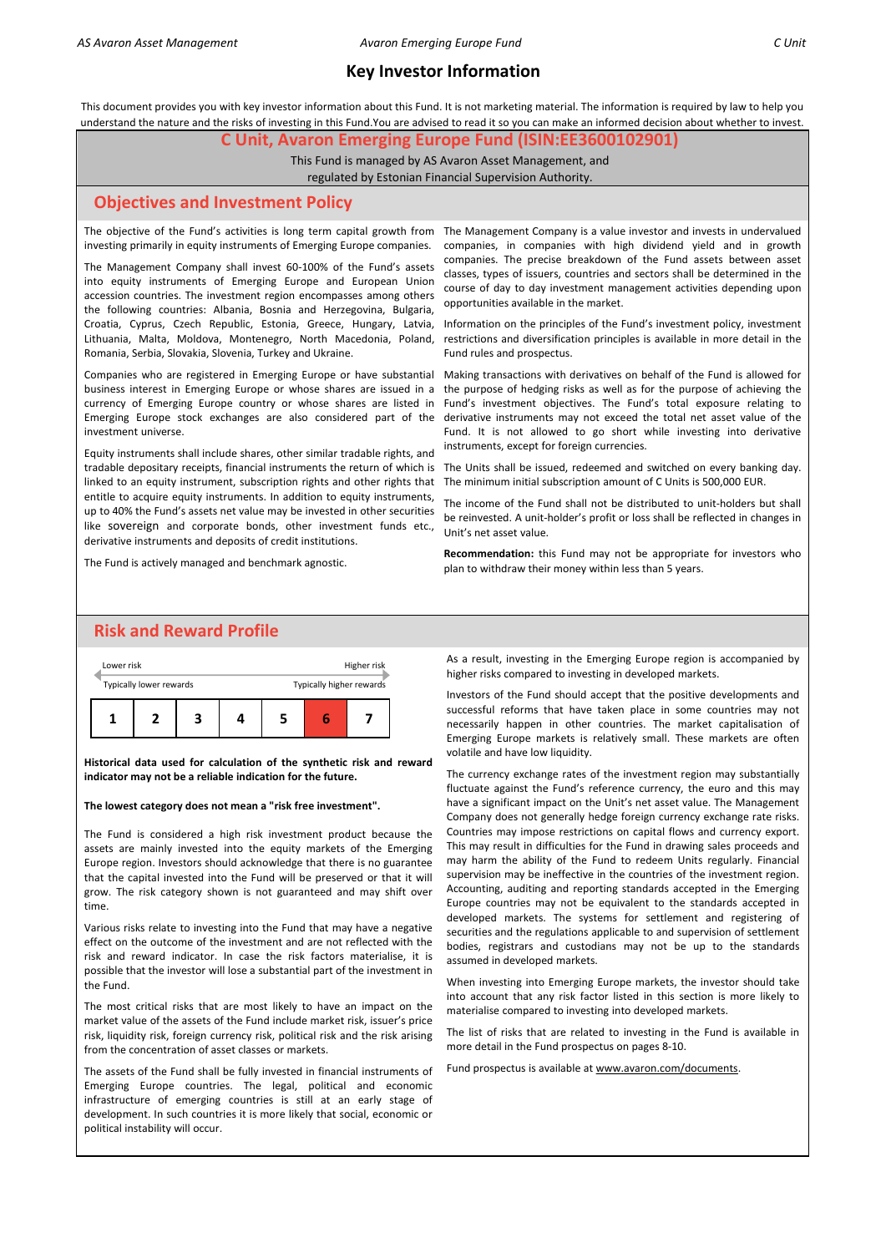This document provides you with key investor information about this Fund. It is not marketing material. The information is required by law to help you understand the nature and the risks of investing in this Fund.You are advised to read it so you can make an informed decision about whether to invest.

#### **C Unit, Avaron Emerging Europe Fund (ISIN:EE3600102901)**

This Fund is managed by AS Avaron Asset Management, and regulated by Estonian Financial Supervision Authority.

# **Objectives and Investment Policy**

The objective of the Fund's activities is long term capital growth from The Management Company is a value investor and invests in undervalued investing primarily in equity instruments of Emerging Europe companies.

The Management Company shall invest 60-100% of the Fund's assets into equity instruments of Emerging Europe and European Union accession countries. The investment region encompasses among others the following countries: Albania, Bosnia and Herzegovina, Bulgaria, Croatia, Cyprus, Czech Republic, Estonia, Greece, Hungary, Latvia, Romania, Serbia, Slovakia, Slovenia, Turkey and Ukraine.

Companies who are registered in Emerging Europe or have substantial Emerging Europe stock exchanges are also considered part of the investment universe.

Equity instruments shall include shares, other similar tradable rights, and tradable depositary receipts, financial instruments the return of which is linked to an equity instrument, subscription rights and other rights that entitle to acquire equity instruments. In addition to equity instruments, up to 40% the Fund's assets net value may be invested in other securities like sovereign and corporate bonds, other investment funds etc., derivative instruments and deposits of credit institutions.

The Fund is actively managed and benchmark agnostic.

companies, in companies with high dividend yield and in growth companies. The precise breakdown of the Fund assets between asset classes, types of issuers, countries and sectors shall be determined in the course of day to day investment management activities depending upon opportunities available in the market.

Information on the principles of the Fund's investment policy, investment Lithuania, Malta, Moldova, Montenegro, North Macedonia, Poland, restrictions and diversification principles is available in more detail in the Fund rules and prospectus.

Making transactions with derivatives on behalf of the Fund is allowed for business interest in Emerging Europe or whose shares are issued in a the purpose of hedging risks as well as for the purpose of achieving the currency of Emerging Europe country or whose shares are listed in Fund's investment objectives. The Fund's total exposure relating to derivative instruments may not exceed the total net asset value of the Fund. It is not allowed to go short while investing into derivative instruments, except for foreign currencies.

> The Units shall be issued, redeemed and switched on every banking day. The minimum initial subscription amount of C Units is 500,000 EUR.

> The income of the Fund shall not be distributed to unit-holders but shall be reinvested. A unit-holder's profit or loss shall be reflected in changes in Unit's net asset value.

> **Recommendation:** this Fund may not be appropriate for investors who plan to withdraw their money within less than 5 years.

# **Risk and Reward Profile**



**Historical data used for calculation of the synthetic risk and reward indicator may not be a reliable indication for the future.**

#### **The lowest category does not mean a "risk free investment".**

The Fund is considered a high risk investment product because the assets are mainly invested into the equity markets of the Emerging Europe region. Investors should acknowledge that there is no guarantee that the capital invested into the Fund will be preserved or that it will grow. The risk category shown is not guaranteed and may shift over time.

Various risks relate to investing into the Fund that may have a negative effect on the outcome of the investment and are not reflected with the risk and reward indicator. In case the risk factors materialise, it is possible that the investor will lose a substantial part of the investment in the Fund.

The most critical risks that are most likely to have an impact on the market value of the assets of the Fund include market risk, issuer's price risk, liquidity risk, foreign currency risk, political risk and the risk arising from the concentration of asset classes or markets.

The assets of the Fund shall be fully invested in financial instruments of Emerging Europe countries. The legal, political and economic infrastructure of emerging countries is still at an early stage of development. In such countries it is more likely that social, economic or political instability will occur.

As a result, investing in the Emerging Europe region is accompanied by higher risks compared to investing in developed markets.

Investors of the Fund should accept that the positive developments and successful reforms that have taken place in some countries may not necessarily happen in other countries. The market capitalisation of Emerging Europe markets is relatively small. These markets are often volatile and have low liquidity.

The currency exchange rates of the investment region may substantially fluctuate against the Fund's reference currency, the euro and this may have a significant impact on the Unit's net asset value. The Management Company does not generally hedge foreign currency exchange rate risks. Countries may impose restrictions on capital flows and currency export. This may result in difficulties for the Fund in drawing sales proceeds and may harm the ability of the Fund to redeem Units regularly. Financial supervision may be ineffective in the countries of the investment region. Accounting, auditing and reporting standards accepted in the Emerging Europe countries may not be equivalent to the standards accepted in developed markets. The systems for settlement and registering of securities and the regulations applicable to and supervision of settlement bodies, registrars and custodians may not be up to the standards assumed in developed markets.

When investing into Emerging Europe markets, the investor should take into account that any risk factor listed in this section is more likely to materialise compared to investing into developed markets.

The list of risks that are related to investing in the Fund is available in more detail in the Fund prospectus on pages 8-10.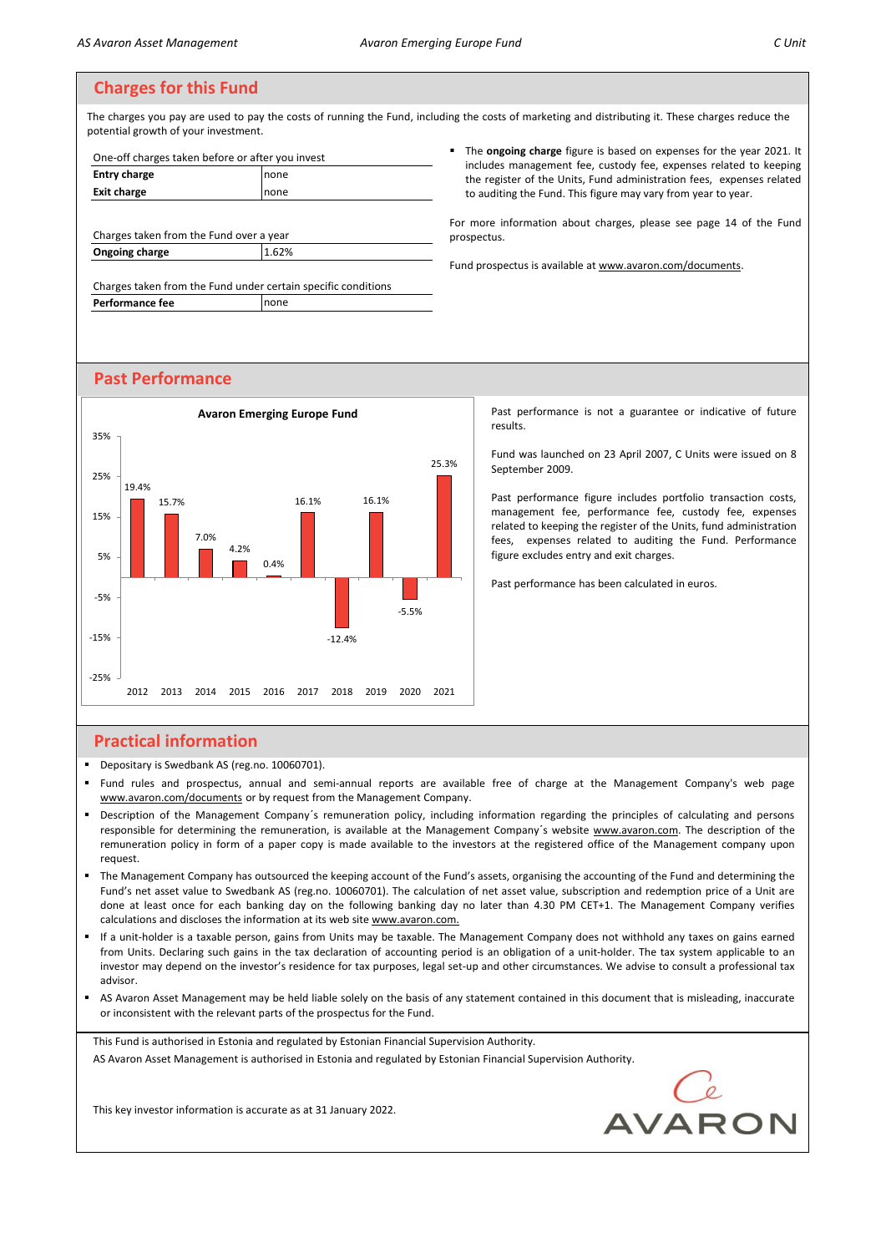The charges you pay are used to pay the costs of running the Fund, including the costs of marketing and distributing it. These charges reduce the potential growth of your investment.

| One-off charges taken before or after you invest |       |  |  |
|--------------------------------------------------|-------|--|--|
| <b>Entry charge</b>                              | none  |  |  |
| <b>Exit charge</b>                               | none  |  |  |
|                                                  |       |  |  |
| Charges taken from the Fund over a year          |       |  |  |
| Ongoing charge                                   | 1.62% |  |  |

Charges taken from the Fund under certain specific conditions **Performance fee** none

▪ The **ongoing charge** figure is based on expenses for the year 2021. It includes management fee, custody fee, expenses related to keeping the register of the Units, Fund administration fees, expenses related to auditing the Fund. This figure may vary from year to year.

For more information about charges, please see page 14 of the Fund prospectus.

Fund prospectus is available at www.avaron.com/documents.

# **Past Performance**



Past performance is not a guarantee or indicative of future results.

Fund was launched on 23 April 2007, C Units were issued on 8 September 2009.

Past performance figure includes portfolio transaction costs, management fee, performance fee, custody fee, expenses related to keeping the register of the Units, fund administration fees, expenses related to auditing the Fund. Performance figure excludes entry and exit charges.

Past performance has been calculated in euros.

# **Practical information**

▪ Depositary is Swedbank AS (reg.no. 10060701).

This key investor information is accurate as at 31 January 2022.

- Fund rules and prospectus, annual and semi-annual reports are available free of charge at the Management Company's web page www.avaron.com/documents or by request from the Management Company.
- Description of the Management Company's remuneration policy, including information regarding the principles of calculating and persons responsible for determining the remuneration, is available at the Management Company's website www.avaron.com. The description of the remuneration policy in form of a paper copy is made available to the investors at the registered office of the Management company upon request.
- The Management Company has outsourced the keeping account of the Fund's assets, organising the accounting of the Fund and determining the Fund's net asset value to Swedbank AS (reg.no. 10060701). The calculation of net asset value, subscription and redemption price of a Unit are done at least once for each banking day on the following banking day no later than 4.30 PM CET+1. The Management Company verifies calculations and discloses the information at its web site www.avaron.com.
- If a unit-holder is a taxable person, gains from Units may be taxable. The Management Company does not withhold any taxes on gains earned from Units. Declaring such gains in the tax declaration of accounting period is an obligation of a unit-holder. The tax system applicable to an investor may depend on the investor's residence for tax purposes, legal set-up and other circumstances. We advise to consult a professional tax advisor.
- AS Avaron Asset Management may be held liable solely on the basis of any statement contained in this document that is misleading, inaccurate or inconsistent with the relevant parts of the prospectus for the Fund.

This Fund is authorised in Estonia and regulated by Estonian Financial Supervision Authority. AS Avaron Asset Management is authorised in Estonia and regulated by Estonian Financial Supervision Authority.

AVARON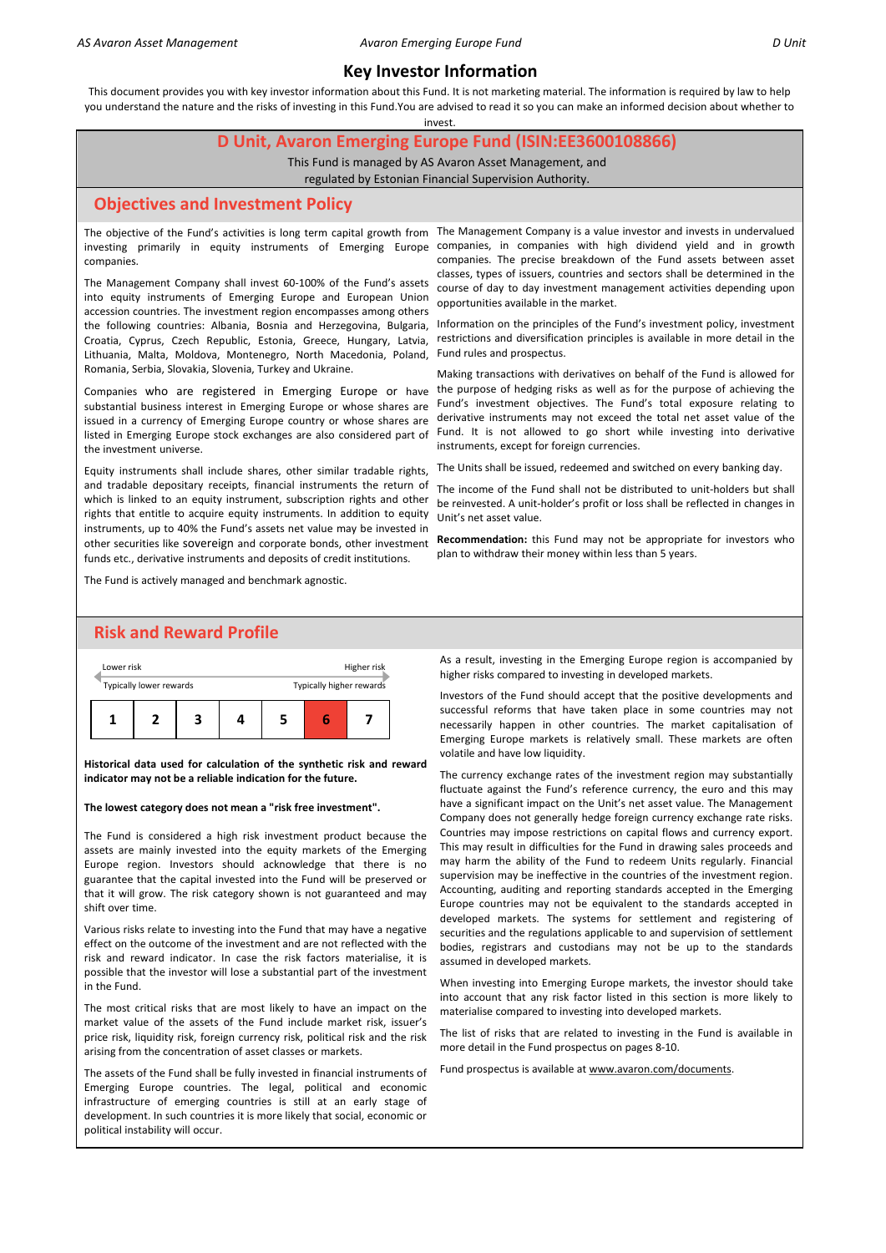This document provides you with key investor information about this Fund. It is not marketing material. The information is required by law to help you understand the nature and the risks of investing in this Fund.You are advised to read it so you can make an informed decision about whether to

invest.

### **D Unit, Avaron Emerging Europe Fund (ISIN:EE3600108866)**

This Fund is managed by AS Avaron Asset Management, and

regulated by Estonian Financial Supervision Authority.

#### **Objectives and Investment Policy**

companies.

Lithuania, Malta, Moldova, Montenegro, North Macedonia, Poland, Fund rules and prospectus. The Management Company shall invest 60-100% of the Fund's assets into equity instruments of Emerging Europe and European Union accession countries. The investment region encompasses among others the following countries: Albania, Bosnia and Herzegovina, Bulgaria, Croatia, Cyprus, Czech Republic, Estonia, Greece, Hungary, Latvia, Romania, Serbia, Slovakia, Slovenia, Turkey and Ukraine.

Companies who are registered in Emerging Europe or have substantial business interest in Emerging Europe or whose shares are issued in a currency of Emerging Europe country or whose shares are listed in Emerging Europe stock exchanges are also considered part of the investment universe.

Equity instruments shall include shares, other similar tradable rights, and tradable depositary receipts, financial instruments the return of which is linked to an equity instrument, subscription rights and other rights that entitle to acquire equity instruments. In addition to equity instruments, up to 40% the Fund's assets net value may be invested in other securities like sovereign and corporate bonds, other investment funds etc., derivative instruments and deposits of credit institutions.

The objective of the Fund's activities is long term capital growth from The Management Company is a value investor and invests in undervalued investing primarily in equity instruments of Emerging Europe companies, in companies with high dividend yield and in growth companies. The precise breakdown of the Fund assets between asset classes, types of issuers, countries and sectors shall be determined in the course of day to day investment management activities depending upon opportunities available in the market.

> Information on the principles of the Fund's investment policy, investment restrictions and diversification principles is available in more detail in the

> Making transactions with derivatives on behalf of the Fund is allowed for the purpose of hedging risks as well as for the purpose of achieving the Fund's investment objectives. The Fund's total exposure relating to derivative instruments may not exceed the total net asset value of the Fund. It is not allowed to go short while investing into derivative instruments, except for foreign currencies.

The Units shall be issued, redeemed and switched on every banking day.

The income of the Fund shall not be distributed to unit-holders but shall be reinvested. A unit-holder's profit or loss shall be reflected in changes in Unit's net asset value.

**Recommendation:** this Fund may not be appropriate for investors who plan to withdraw their money within less than 5 years.

# The Fund is actively managed and benchmark agnostic.

# **Risk and Reward Profile**



**Historical data used for calculation of the synthetic risk and reward indicator may not be a reliable indication for the future.**

#### **The lowest category does not mean a "risk free investment".**

The Fund is considered a high risk investment product because the assets are mainly invested into the equity markets of the Emerging Europe region. Investors should acknowledge that there is no guarantee that the capital invested into the Fund will be preserved or that it will grow. The risk category shown is not guaranteed and may shift over time.

Various risks relate to investing into the Fund that may have a negative effect on the outcome of the investment and are not reflected with the risk and reward indicator. In case the risk factors materialise, it is possible that the investor will lose a substantial part of the investment in the Fund.

The most critical risks that are most likely to have an impact on the market value of the assets of the Fund include market risk, issuer's price risk, liquidity risk, foreign currency risk, political risk and the risk arising from the concentration of asset classes or markets.

The assets of the Fund shall be fully invested in financial instruments of Emerging Europe countries. The legal, political and economic infrastructure of emerging countries is still at an early stage of development. In such countries it is more likely that social, economic or political instability will occur.

As a result, investing in the Emerging Europe region is accompanied by higher risks compared to investing in developed markets.

Investors of the Fund should accept that the positive developments and successful reforms that have taken place in some countries may not necessarily happen in other countries. The market capitalisation of Emerging Europe markets is relatively small. These markets are often volatile and have low liquidity.

The currency exchange rates of the investment region may substantially fluctuate against the Fund's reference currency, the euro and this may have a significant impact on the Unit's net asset value. The Management Company does not generally hedge foreign currency exchange rate risks. Countries may impose restrictions on capital flows and currency export. This may result in difficulties for the Fund in drawing sales proceeds and may harm the ability of the Fund to redeem Units regularly. Financial supervision may be ineffective in the countries of the investment region. Accounting, auditing and reporting standards accepted in the Emerging Europe countries may not be equivalent to the standards accepted in developed markets. The systems for settlement and registering of securities and the regulations applicable to and supervision of settlement bodies, registrars and custodians may not be up to the standards assumed in developed markets.

When investing into Emerging Europe markets, the investor should take into account that any risk factor listed in this section is more likely to materialise compared to investing into developed markets.

The list of risks that are related to investing in the Fund is available in more detail in the Fund prospectus on pages 8-10.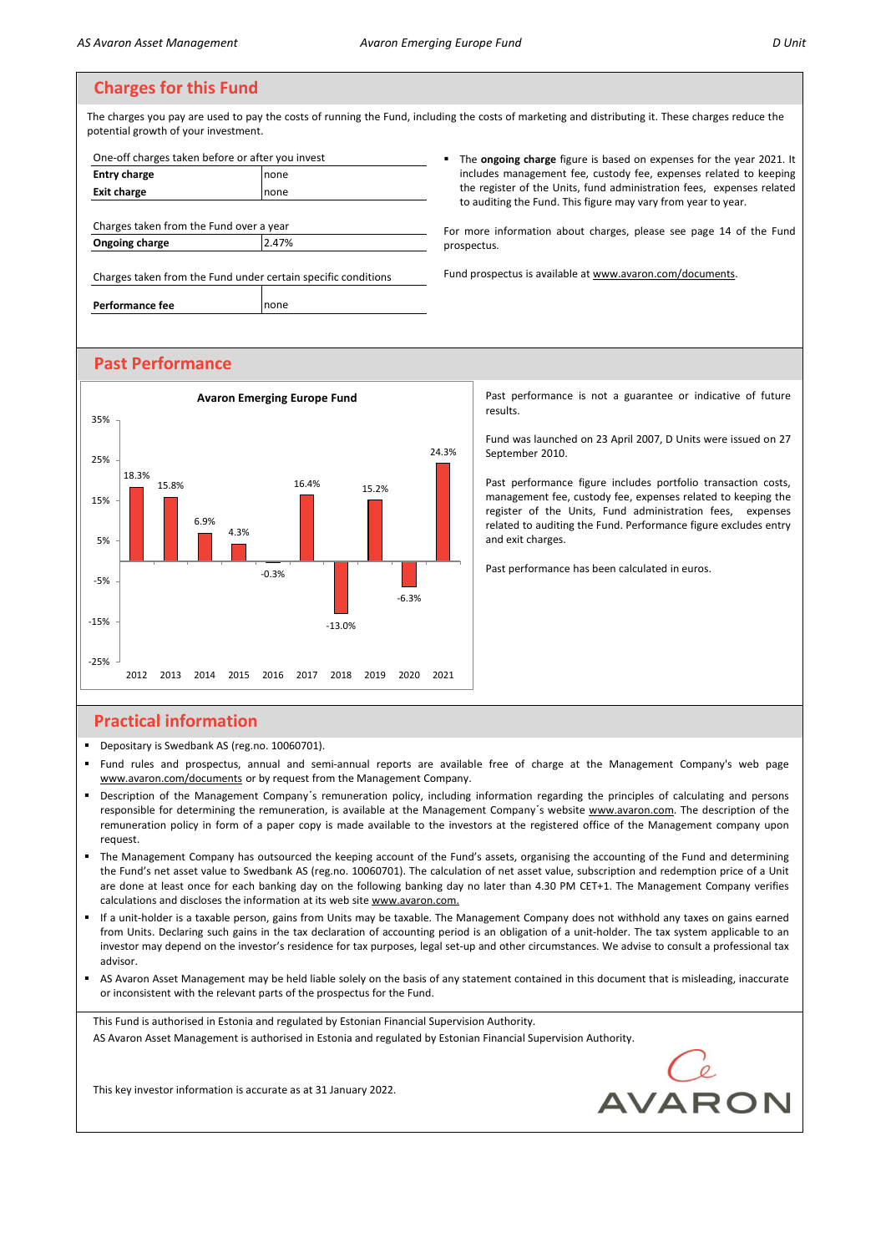The charges you pay are used to pay the costs of running the Fund, including the costs of marketing and distributing it. These charges reduce the potential growth of your investment.

| One-off charges taken before or after you invest              |       |    |
|---------------------------------------------------------------|-------|----|
| <b>Entry charge</b>                                           | none  |    |
| <b>Exit charge</b>                                            | none  |    |
|                                                               |       |    |
| Charges taken from the Fund over a year                       |       |    |
| Ongoing charge                                                | 2.47% | pr |
|                                                               |       |    |
| Charges taken from the Fund under certain specific conditions |       | Fu |
| Performance fee                                               | none  |    |

The **ongoing charge** figure is based on expenses for the year 2021. It includes management fee, custody fee, expenses related to keeping the register of the Units, fund administration fees, expenses related to auditing the Fund. This figure may vary from year to year.

or more information about charges, please see page 14 of the Fund ospectus.

Past performance is not a guarantee or indicative of future

Fund was launched on 23 April 2007, D Units were issued on 27

Past performance figure includes portfolio transaction costs, management fee, custody fee, expenses related to keeping the register of the Units, Fund administration fees, expenses related to auditing the Fund. Performance figure excludes entry

Past performance has been calculated in euros.

and prospectus is available at www.avaron.com/documents.

results.

September 2010.

and exit charges.

# **Past Performance**



# **Practical information**

- **•** Depositary is Swedbank AS (reg.no. 10060701).
- Fund rules and prospectus, annual and semi-annual reports are available free of charge at the Management Company's web page www.avaron.com/documents or by request from the Management Company.
- Description of the Management Company's remuneration policy, including information regarding the principles of calculating and persons responsible for determining the remuneration, is available at the Management Company´s website www.avaron.com. The description of the remuneration policy in form of a paper copy is made available to the investors at the registered office of the Management company upon request.
- The Management Company has outsourced the keeping account of the Fund's assets, organising the accounting of the Fund and determining the Fund's net asset value to Swedbank AS (reg.no. 10060701). The calculation of net asset value, subscription and redemption price of a Unit are done at least once for each banking day on the following banking day no later than 4.30 PM CET+1. The Management Company verifies calculations and discloses the information at its web site www.avaron.com.
- If a unit-holder is a taxable person, gains from Units may be taxable. The Management Company does not withhold any taxes on gains earned from Units. Declaring such gains in the tax declaration of accounting period is an obligation of a unit-holder. The tax system applicable to an investor may depend on the investor's residence for tax purposes, legal set-up and other circumstances. We advise to consult a professional tax advisor.
- AS Avaron Asset Management may be held liable solely on the basis of any statement contained in this document that is misleading, inaccurate or inconsistent with the relevant parts of the prospectus for the Fund.

This Fund is authorised in Estonia and regulated by Estonian Financial Supervision Authority. AS Avaron Asset Management is authorised in Estonia and regulated by Estonian Financial Supervision Authority.

**AVARON**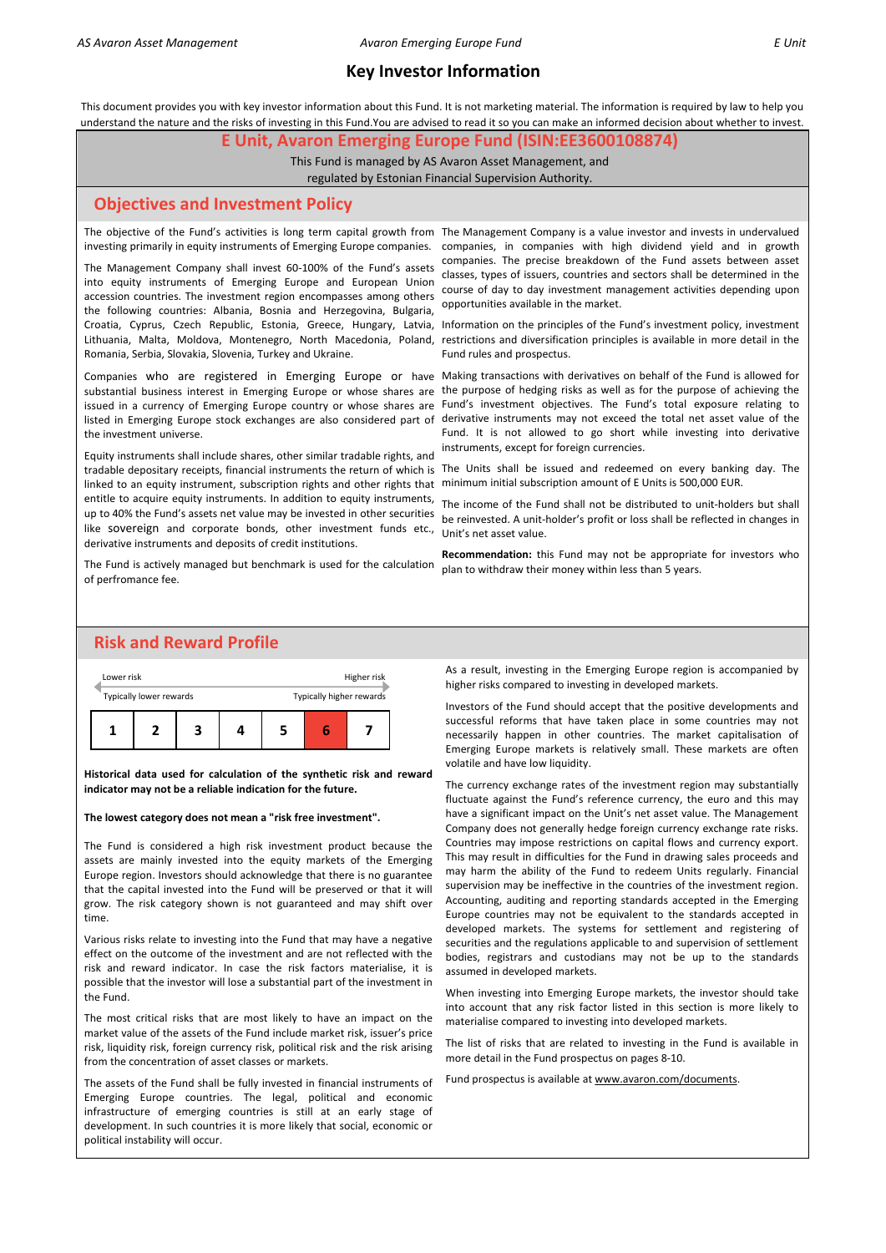This document provides you with key investor information about this Fund. It is not marketing material. The information is required by law to help you understand the nature and the risks of investing in this Fund.You are advised to read it so you can make an informed decision about whether to invest.

#### **E Unit, Avaron Emerging Europe Fund (ISIN:EE3600108874)**

This Fund is managed by AS Avaron Asset Management, and

regulated by Estonian Financial Supervision Authority.

#### **Objectives and Investment Policy**

investing primarily in equity instruments of Emerging Europe companies.

The Management Company shall invest 60-100% of the Fund's assets into equity instruments of Emerging Europe and European Union accession countries. The investment region encompasses among others the following countries: Albania, Bosnia and Herzegovina, Bulgaria, Croatia, Cyprus, Czech Republic, Estonia, Greece, Hungary, Latvia, Romania, Serbia, Slovakia, Slovenia, Turkey and Ukraine.

substantial business interest in Emerging Europe or whose shares are the investment universe.

linked to an equity instrument, subscription rights and other rights that minimum initial subscription amount of E Units is 500,000 EUR. like sovereign and corporate bonds, other investment funds etc., Unit's net asset value. Equity instruments shall include shares, other similar tradable rights, and entitle to acquire equity instruments. In addition to equity instruments, up to 40% the Fund's assets net value may be invested in other securities derivative instruments and deposits of credit institutions.

The Fund is actively managed but benchmark is used for the calculation of perfromance fee.

The objective of the Fund's activities is long term capital growth from The Management Company is a value investor and invests in undervalued companies, in companies with high dividend yield and in growth companies. The precise breakdown of the Fund assets between asset classes, types of issuers, countries and sectors shall be determined in the course of day to day investment management activities depending upon opportunities available in the market.

Information on the principles of the Fund's investment policy, investment Lithuania, Malta, Moldova, Montenegro, North Macedonia, Poland, restrictions and diversification principles is available in more detail in the Fund rules and prospectus.

Companies who are registered in Emerging Europe or have Making transactions with derivatives on behalf of the Fund is allowed for the purpose of hedging risks as well as for the purpose of achieving the issued in a currency of Emerging Europe country or whose shares are Fund's investment objectives. The Fund's total exposure relating to listed in Emerging Europe stock exchanges are also considered part of derivative instruments may not exceed the total net asset value of the Fund. It is not allowed to go short while investing into derivative instruments, except for foreign currencies.

tradable depositary receipts, financial instruments the return of which is The Units shall be issued and redeemed on every banking day. The

The income of the Fund shall not be distributed to unit-holders but shall be reinvested. A unit-holder's profit or loss shall be reflected in changes in

**Recommendation:** this Fund may not be appropriate for investors who plan to withdraw their money within less than 5 years.

## **Risk and Reward Profile**



**Historical data used for calculation of the synthetic risk and reward indicator may not be a reliable indication for the future.**

#### **The lowest category does not mean a "risk free investment".**

The Fund is considered a high risk investment product because the assets are mainly invested into the equity markets of the Emerging Europe region. Investors should acknowledge that there is no guarantee that the capital invested into the Fund will be preserved or that it will grow. The risk category shown is not guaranteed and may shift over time.

Various risks relate to investing into the Fund that may have a negative effect on the outcome of the investment and are not reflected with the risk and reward indicator. In case the risk factors materialise, it is possible that the investor will lose a substantial part of the investment in the Fund.

The most critical risks that are most likely to have an impact on the market value of the assets of the Fund include market risk, issuer's price risk, liquidity risk, foreign currency risk, political risk and the risk arising from the concentration of asset classes or markets.

The assets of the Fund shall be fully invested in financial instruments of Emerging Europe countries. The legal, political and economic infrastructure of emerging countries is still at an early stage of development. In such countries it is more likely that social, economic or political instability will occur.

As a result, investing in the Emerging Europe region is accompanied by higher risks compared to investing in developed markets.

Investors of the Fund should accept that the positive developments and successful reforms that have taken place in some countries may not necessarily happen in other countries. The market capitalisation of Emerging Europe markets is relatively small. These markets are often volatile and have low liquidity.

The currency exchange rates of the investment region may substantially fluctuate against the Fund's reference currency, the euro and this may have a significant impact on the Unit's net asset value. The Management Company does not generally hedge foreign currency exchange rate risks. Countries may impose restrictions on capital flows and currency export. This may result in difficulties for the Fund in drawing sales proceeds and may harm the ability of the Fund to redeem Units regularly. Financial supervision may be ineffective in the countries of the investment region. Accounting, auditing and reporting standards accepted in the Emerging Europe countries may not be equivalent to the standards accepted in developed markets. The systems for settlement and registering of securities and the regulations applicable to and supervision of settlement bodies, registrars and custodians may not be up to the standards assumed in developed markets.

When investing into Emerging Europe markets, the investor should take into account that any risk factor listed in this section is more likely to materialise compared to investing into developed markets.

The list of risks that are related to investing in the Fund is available in more detail in the Fund prospectus on pages 8-10.